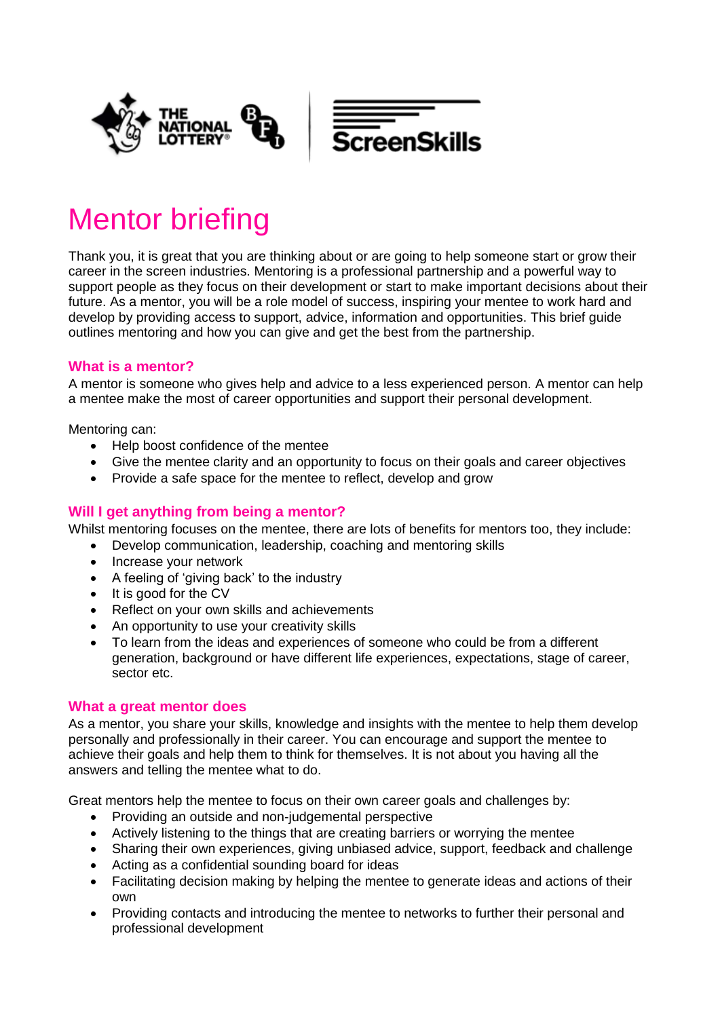

# Mentor briefing

Thank you, it is great that you are thinking about or are going to help someone start or grow their career in the screen industries. Mentoring is a professional partnership and a powerful way to support people as they focus on their development or start to make important decisions about their future. As a mentor, you will be a role model of success, inspiring your mentee to work hard and develop by providing access to support, advice, information and opportunities. This brief guide outlines mentoring and how you can give and get the best from the partnership.

### **What is a mentor?**

A mentor is someone who gives help and advice to a less experienced person. A mentor can help a mentee make the most of career opportunities and support their personal development.

Mentoring can:

- Help boost confidence of the mentee
- Give the mentee clarity and an opportunity to focus on their goals and career objectives
- Provide a safe space for the mentee to reflect, develop and grow

## **Will I get anything from being a mentor?**

Whilst mentoring focuses on the mentee, there are lots of benefits for mentors too, they include:

- Develop communication, leadership, coaching and mentoring skills
- Increase your network
- A feeling of 'giving back' to the industry
- It is good for the CV
- Reflect on your own skills and achievements
- An opportunity to use your creativity skills
- To learn from the ideas and experiences of someone who could be from a different generation, background or have different life experiences, expectations, stage of career, sector etc.

#### **What a great mentor does**

As a mentor, you share your skills, knowledge and insights with the mentee to help them develop personally and professionally in their career. You can encourage and support the mentee to achieve their goals and help them to think for themselves. It is not about you having all the answers and telling the mentee what to do.

Great mentors help the mentee to focus on their own career goals and challenges by:

- Providing an outside and non-judgemental perspective
- Actively listening to the things that are creating barriers or worrying the mentee
- Sharing their own experiences, giving unbiased advice, support, feedback and challenge
- Acting as a confidential sounding board for ideas
- Facilitating decision making by helping the mentee to generate ideas and actions of their own
- Providing contacts and introducing the mentee to networks to further their personal and professional development